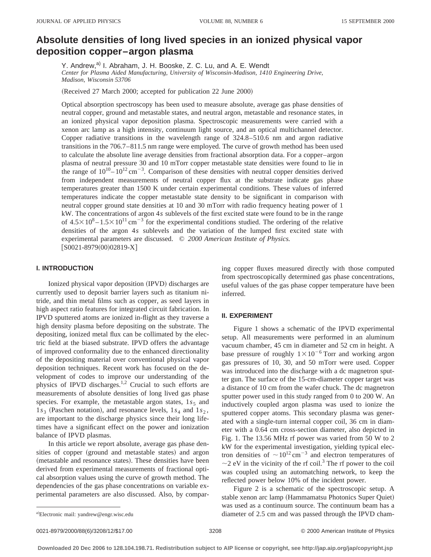# **Absolute densities of long lived species in an ionized physical vapor deposition copper–argon plasma**

Y. Andrew,<sup>a)</sup> I. Abraham, J. H. Booske, Z. C. Lu, and A. E. Wendt *Center for Plasma Aided Manufacturing, University of Wisconsin-Madison, 1410 Engineering Drive, Madison, Wisconsin 53706*

(Received 27 March 2000; accepted for publication 22 June 2000)

Optical absorption spectroscopy has been used to measure absolute, average gas phase densities of neutral copper, ground and metastable states, and neutral argon, metastable and resonance states, in an ionized physical vapor deposition plasma. Spectroscopic measurements were carried with a xenon arc lamp as a high intensity, continuum light source, and an optical multichannel detector. Copper radiative transitions in the wavelength range of 324.8–510.6 nm and argon radiative transitions in the 706.7–811.5 nm range were employed. The curve of growth method has been used to calculate the absolute line average densities from fractional absorption data. For a copper–argon plasma of neutral pressure 30 and 10 mTorr copper metastable state densities were found to lie in the range of  $10^{10} - 10^{12}$  cm<sup>-3</sup>. Comparison of these densities with neutral copper densities derived from independent measurements of neutral copper flux at the substrate indicate gas phase temperatures greater than 1500 K under certain experimental conditions. These values of inferred temperatures indicate the copper metastable state density to be significant in comparison with neutral copper ground state densities at 10 and 30 mTorr with radio frequency heating power of 1 kW. The concentrations of argon 4*s* sublevels of the first excited state were found to be in the range of  $4.5\times10^{8} - 1.5\times10^{11}$  cm<sup>-3</sup> for the experimental conditions studied. The ordering of the relative densities of the argon 4*s* sublevels and the variation of the lumped first excited state with experimental parameters are discussed. © *2000 American Institute of Physics.*  $[SO021-8979(00)02819-X]$ 

# **I. INTRODUCTION**

Ionized physical vapor deposition (IPVD) discharges are currently used to deposit barrier layers such as titanium nitride, and thin metal films such as copper, as seed layers in high aspect ratio features for integrated circuit fabrication. In IPVD sputtered atoms are ionized in-flight as they traverse a high density plasma before depositing on the substrate. The depositing, ionized metal flux can be collimated by the electric field at the biased substrate. IPVD offers the advantage of improved conformality due to the enhanced directionality of the depositing material over conventional physical vapor deposition techniques. Recent work has focused on the development of codes to improve our understanding of the physics of IPVD discharges.<sup>1,2</sup> Crucial to such efforts are measurements of absolute densities of long lived gas phase species. For example, the metastable argon states,  $1s<sub>5</sub>$  and  $1s_3$  (Paschen notation), and resonance levels,  $1s_4$  and  $1s_2$ , are important to the discharge physics since their long lifetimes have a significant effect on the power and ionization balance of IPVD plasmas.

In this article we report absolute, average gas phase densities of copper (ground and metastable states) and argon (metastable and resonance states). These densities have been derived from experimental measurements of fractional optical absorption values using the curve of growth method. The dependencies of the gas phase concentrations on variable experimental parameters are also discussed. Also, by comparing copper fluxes measured directly with those computed from spectroscopically determined gas phase concentrations, useful values of the gas phase copper temperature have been inferred.

### **II. EXPERIMENT**

Figure 1 shows a schematic of the IPVD experimental setup. All measurements were performed in an aluminum vacuum chamber, 45 cm in diameter and 52 cm in height. A base pressure of roughly  $1 \times 10^{-6}$  Torr and working argon gas pressures of 10, 30, and 50 mTorr were used. Copper was introduced into the discharge with a dc magnetron sputter gun. The surface of the 15-cm-diameter copper target was a distance of 10 cm from the wafer chuck. The dc magnetron sputter power used in this study ranged from 0 to 200 W. An inductively coupled argon plasma was used to ionize the sputtered copper atoms. This secondary plasma was generated with a single-turn internal copper coil, 36 cm in diameter with a 0.64 cm cross-section diameter, also depicted in Fig. 1. The 13.56 MHz rf power was varied from 50 W to 2 kW for the experimental investigation, yielding typical electron densities of  $\sim 10^{12} \text{ cm}^{-3}$  and electron temperatures of  $\sim$  2 eV in the vicinity of the rf coil.<sup>3</sup> The rf power to the coil was coupled using an automatching network, to keep the reflected power below 10% of the incident power.

Figure 2 is a schematic of the spectroscopic setup. A stable xenon arc lamp (Hammamatsu Photonics Super Quiet) was used as a continuum source. The continuum beam has a diameter of  $2.5$  cm and was passed through the IPVD cham-

0021-8979/2000/88(6)/3208/12/\$17.00 © 2000 American Institute of Physics 3208

a)Electronic mail: yandrew@engr.wisc.edu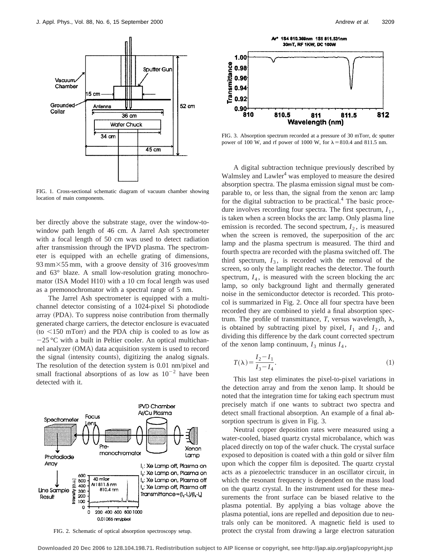

FIG. 1. Cross-sectional schematic diagram of vacuum chamber showing location of main components.

ber directly above the substrate stage, over the window-towindow path length of 46 cm. A Jarrel Ash spectrometer with a focal length of 50 cm was used to detect radiation after transmission through the IPVD plasma. The spectrometer is equipped with an echelle grating of dimensions,  $93 \text{ mm} \times 55 \text{ mm}$ , with a groove density of 316 grooves/mm and 63° blaze. A small low-resolution grating monochromator (ISA Model H10) with a 10 cm focal length was used as a premonochromator with a spectral range of 5 nm.

The Jarrel Ash spectrometer is equipped with a multichannel detector consisting of a 1024-pixel Si photodiode array (PDA). To suppress noise contribution from thermally generated charge carriers, the detector enclosure is evacuated  $(to < 150$  mTorr) and the PDA chip is cooled to as low as  $-25$  °C with a built in Peltier cooler. An optical multichannel analyzer (OMA) data acquisition system is used to record the signal (intensity counts), digitizing the analog signals. The resolution of the detection system is 0.01 nm/pixel and small fractional absorptions of as low as  $10^{-2}$  have been detected with it.



FIG. 2. Schematic of optical absorption spectroscopy setup.



FIG. 3. Absorption spectrum recorded at a pressure of 30 mTorr, dc sputter power of 100 W, and rf power of 1000 W, for  $\lambda = 810.4$  and 811.5 nm.

A digital subtraction technique previously described by Walmsley and Lawler<sup>4</sup> was employed to measure the desired absorption spectra. The plasma emission signal must be comparable to, or less than, the signal from the xenon arc lamp for the digital subtraction to be practical. $4$  The basic procedure involves recording four spectra. The first spectrum,  $I_1$ , is taken when a screen blocks the arc lamp. Only plasma line emission is recorded. The second spectrum,  $I_2$ , is measured when the screen is removed, the superposition of the arc lamp and the plasma spectrum is measured. The third and fourth spectra are recorded with the plasma switched off. The third spectrum,  $I_3$ , is recorded with the removal of the screen, so only the lamplight reaches the detector. The fourth spectrum,  $I_4$ , is measured with the screen blocking the arc lamp, so only background light and thermally generated noise in the semiconductor detector is recorded. This protocol is summarized in Fig. 2. Once all four spectra have been recorded they are combined to yield a final absorption spectrum. The profile of transmittance,  $T$ , versus wavelength,  $\lambda$ , is obtained by subtracting pixel by pixel,  $I_1$  and  $I_2$ , and dividing this difference by the dark count corrected spectrum of the xenon lamp continuum,  $I_3$  minus  $I_4$ ,

$$
T(\lambda) = \frac{I_2 - I_1}{I_3 - I_4}.\tag{1}
$$

This last step eliminates the pixel-to-pixel variations in the detection array and from the xenon lamp. It should be noted that the integration time for taking each spectrum must precisely match if one wants to subtract two spectra and detect small fractional absorption. An example of a final absorption spectrum is given in Fig. 3.

Neutral copper deposition rates were measured using a water-cooled, biased quartz crystal microbalance, which was placed directly on top of the wafer chuck. The crystal surface exposed to deposition is coated with a thin gold or silver film upon which the copper film is deposited. The quartz crystal acts as a piezoelectric transducer in an oscillator circuit, in which the resonant frequency is dependent on the mass load on the quartz crystal. In the instrument used for these measurements the front surface can be biased relative to the plasma potential. By applying a bias voltage above the plasma potential, ions are repelled and deposition due to neutrals only can be monitored. A magnetic field is used to protect the crystal from drawing a large electron saturation

**Downloaded 20 Dec 2006 to 128.104.198.71. Redistribution subject to AIP license or copyright, see http://jap.aip.org/jap/copyright.jsp**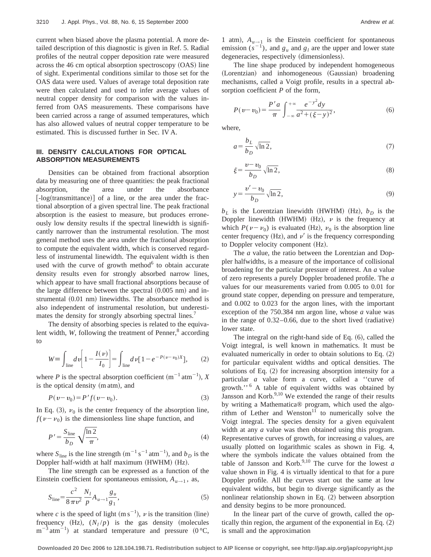current when biased above the plasma potential. A more detailed description of this diagnostic is given in Ref. 5. Radial profiles of the neutral copper deposition rate were measured across the  $46 \text{ cm}$  optical absorption spectroscopy  $(OAS)$  line of sight. Experimental conditions similar to those set for the OAS data were used. Values of average total deposition rate were then calculated and used to infer average values of neutral copper density for comparison with the values inferred from OAS measurements. These comparisons have been carried across a range of assumed temperatures, which has also allowed values of neutral copper temperature to be estimated. This is discussed further in Sec. IV A.

## **III. DENSITY CALCULATIONS FOR OPTICAL ABSORPTION MEASUREMENTS**

Densities can be obtained from fractional absorption data by measuring one of three quantities: the peak fractional absorption, the area under the absorbance  $\lfloor -\log(\text{transmittance}) \rfloor$  of a line, or the area under the fractional absorption of a given spectral line. The peak fractional absorption is the easiest to measure, but produces erroneously low density results if the spectral linewidth is significantly narrower than the instrumental resolution. The most general method uses the area under the fractional absorption to compute the equivalent width, which is conserved regardless of instrumental linewidth. The equivalent width is then used with the curve of growth method $\sigma$  to obtain accurate density results even for strongly absorbed narrow lines, which appear to have small fractional absorptions because of the large difference between the spectral  $(0.005 \text{ nm})$  and instrumental  $(0.01 \text{ nm})$  linewidths. The absorbance method is also independent of instrumental resolution, but underestimates the density for strongly absorbing spectral lines.<sup>7</sup>

The density of absorbing species is related to the equivalent width, *W*, following the treatment of Penner,<sup>8</sup> according to

$$
W \equiv \int_{\text{line}} dv \left[ 1 - \frac{I(v)}{I_0} \right] = \int_{\text{line}} dv \left[ 1 - e^{-P(v - v_0)X} \right], \tag{2}
$$

where *P* is the spectral absorption coefficient  $(m^{-1} \text{ atm}^{-1})$ , *X* is the optical density (m atm), and

$$
P(v - v_0) = P' f(v - v_0).
$$
 (3)

In Eq. (3),  $\nu_0$  is the center frequency of the absorption line,  $f(\nu-\nu_0)$  is the dimensionless line shape function, and

$$
P' = \frac{S_{\text{line}}}{b_D} \sqrt{\frac{\ln 2}{\pi}},\tag{4}
$$

where  $S_{\text{line}}$  is the line strength  $(m^{-1} s^{-1} \text{ atm}^{-1})$ , and  $b_D$  is the Doppler half-width at half maximum (HWHM) (Hz).

The line strength can be expressed as a function of the Einstein coefficient for spontaneous emission,  $A_{u \to 1}$ , as,

$$
S_{\text{line}} = \frac{c^2}{8\,\pi\,v^2} \frac{N_l}{p} A_{u \to 1} \frac{g_u}{g_1},\tag{5}
$$

where *c* is the speed of light  $(m s^{-1})$ , *v* is the transition (line) frequency  $(Hz)$ ,  $(N_l/p)$  is the gas density (molecules  $m^{-3}$  atm<sup>-1</sup>) at standard temperature and pressure (0 °C,

1 atm),  $A_{u\rightarrow 1}$  is the Einstein coefficient for spontaneous emission  $(s^{-1})$ , and  $g_u$  and  $g_l$  are the upper and lower state degeneracies, respectively (dimensionless).

The line shape produced by independent homogeneous (Lorentzian) and inhomogeneous (Gaussian) broadening mechanisms, called a Voigt profile, results in a spectral absorption coefficient *P* of the form,

$$
P(v - v_0) = \frac{P'a}{\pi} \int_{-\infty}^{+\infty} \frac{e^{-y^2} dy}{a^2 + (\xi - y)^2},
$$
 (6)

where,

$$
a = \frac{b_L}{b_D} \sqrt{\ln 2},\tag{7}
$$

$$
\xi = \frac{\nu - \nu_0}{b_D} \sqrt{\ln 2},\tag{8}
$$

$$
y = \frac{v' - v_0}{b_D} \sqrt{\ln 2},\tag{9}
$$

 $b<sub>L</sub>$  is the Lorentzian linewidth (HWHM) (Hz),  $b<sub>D</sub>$  is the Doppler linewidth (HWHM) (Hz),  $\nu$  is the frequency at which  $P(\nu-\nu_0)$  is evaluated (Hz),  $\nu_0$  is the absorption line center frequency (Hz), and  $\nu'$  is the frequency corresponding to Doppler velocity component (Hz).

The *a* value, the ratio between the Lorentzian and Doppler halfwidths, is a measure of the importance of collisional broadening for the particular pressure of interest. An *a* value of zero represents a purely Doppler broadened profile. The *a* values for our measurements varied from 0.005 to 0.01 for ground state copper, depending on pressure and temperature, and 0.002 to 0.023 for the argon lines, with the important exception of the 750.384 nm argon line, whose *a* value was in the range of  $0.32-0.66$ , due to the short lived (radiative) lower state.

The integral on the right-hand side of Eq.  $(6)$ , called the Voigt integral, is well known in mathematics. It must be evaluated numerically in order to obtain solutions to Eq.  $(2)$ for particular equivalent widths and optical densities. The solutions of Eq.  $(2)$  for increasing absorption intensity for a particular *a* value form a curve, called a ''curve of growth.'' <sup>6</sup> A table of equivalent widths was obtained by Jansson and Korb. $9,10$  We extended the range of their results by writing a Mathematica® program, which used the algorithm of Lether and Wenston $11$  to numerically solve the Voigt integral. The species density for a given equivalent width at any *a* value was then obtained using this program. Representative curves of growth, for increasing *a* values, are usually plotted on logarithmic scales as shown in Fig. 4, where the symbols indicate the values obtained from the table of Jansson and Korb.<sup>9,10</sup> The curve for the lowest  $a$ value shown in Fig. 4 is virtually identical to that for a pure Doppler profile. All the curves start out the same at low equivalent widths, but begin to diverge significantly as the nonlinear relationship shown in Eq.  $(2)$  between absorption and density begins to be more pronounced.

In the linear part of the curve of growth, called the optically thin region, the argument of the exponential in Eq.  $(2)$ is small and the approximation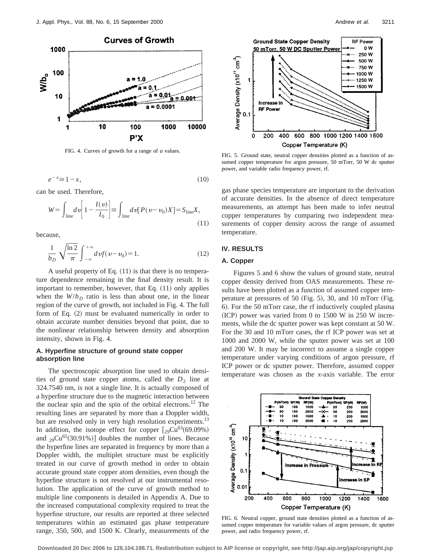

FIG. 4. Curves of growth for a range of *a* values.

$$
e^{-x} \cong 1 - x,\tag{10}
$$

can be used. Therefore,

$$
W = \int_{\text{line}} dv \left[ 1 - \frac{I(v)}{I_0} \right] \approx \int_{\text{line}} dv [P(v - v_0)X] = S_{\text{line}}X,
$$
\n(11)

because,

$$
\frac{1}{b_D} \sqrt{\frac{\ln 2}{\pi}} \int_{-\infty}^{+\infty} dv f(v - v_0) = 1.
$$
 (12)

A useful property of Eq.  $(11)$  is that there is no temperature dependence remaining in the final density result. It is important to remember, however, that Eq.  $(11)$  only applies when the  $W/b<sub>D</sub>$  ratio is less than about one, in the linear region of the curve of growth, not included in Fig. 4. The full form of Eq.  $(2)$  must be evaluated numerically in order to obtain accurate number densities beyond that point, due to the nonlinear relationship between density and absorption intensity, shown in Fig. 4.

## **A. Hyperfine structure of ground state copper absorption line**

The spectroscopic absorption line used to obtain densities of ground state copper atoms, called the  $D_2$  line at 324.7540 nm, is not a single line. It is actually composed of a hyperfine structure due to the magnetic interaction between the nuclear spin and the spin of the orbital electrons.<sup>12</sup> The resulting lines are separated by more than a Doppler width, but are resolved only in very high resolution experiments.<sup>13</sup> In addition, the isotope effect for copper  $\lceil_{29}Cu^{63}(69.09\%)$ and  $_{29}Cu^{65}(30.91\%)$  doubles the number of lines. Because the hyperfine lines are separated in frequency by more than a Doppler width, the multiplet structure must be explicitly treated in our curve of growth method in order to obtain accurate ground state copper atom densities, even though the hyperfine structure is not resolved at our instrumental resolution. The application of the curve of growth method to multiple line components is detailed in Appendix A. Due to the increased computational complexity required to treat the hyperfine structure, our results are reported at three selected temperatures within an estimated gas phase temperature range, 350, 500, and 1500 K. Clearly, measurements of the





FIG. 5. Ground state, neutral copper densities plotted as a function of assumed copper temperature for argon pressure, 50 mTorr, 50 W dc sputter power, and variable radio frequency power, rf.

gas phase species temperature are important to the derivation of accurate densities. In the absence of direct temperature measurements, an attempt has been made to infer neutral copper temperatures by comparing two independent measurements of copper density across the range of assumed temperature.

# **IV. RESULTS**

#### **A. Copper**

Figures 5 and 6 show the values of ground state, neutral copper density derived from OAS measurements. These results have been plotted as a function of assumed copper temperature at pressures of 50  $(Fig. 5)$ , 30, and 10 mTorr  $(Fig. 5)$ 6). For the 50 mTorr case, the rf inductively coupled plasma  $~(ICP)$  power was varied from 0 to 1500 W in 250 W increments, while the dc sputter power was kept constant at 50 W. For the 30 and 10 mTorr cases, the rf ICP power was set at 1000 and 2000 W, while the sputter power was set at 100 and 200 W. It may be incorrect to assume a single copper temperature under varying conditions of argon pressure, rf ICP power or dc sputter power. Therefore, assumed copper temperature was chosen as the *x*-axis variable. The error



FIG. 6. Neutral copper, ground state densities plotted as a function of assumed copper temperature for variable values of argon pressure, dc sputter power, and radio frequency power, rf.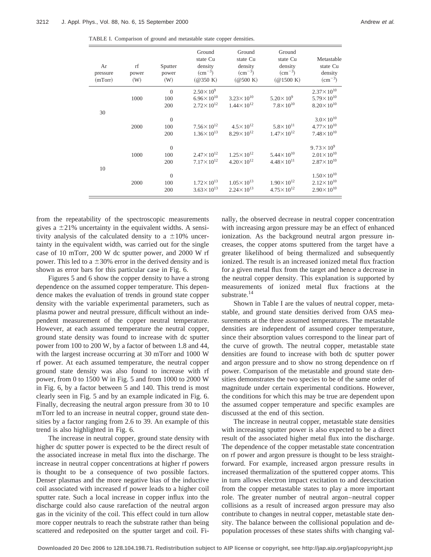TABLE I. Comparison of ground and metastable state copper densities.

| Ar<br>pressure<br>(mTorr) | rf<br>power<br>(W) | Sputter<br>power<br>(W) | Ground<br>state Cu<br>density<br>$\rm (cm^{-3})$<br>(@350 K) | Ground<br>state Cu<br>density<br>$\rm (cm^{-3})$<br>$(\textcircled{a}500 K)$ | Ground<br>state Cu<br>density<br>$\rm (cm^{-3})$<br>(@1500 K) | Metastable<br>state Cu<br>density<br>$\rm (cm^{-3})$ |
|---------------------------|--------------------|-------------------------|--------------------------------------------------------------|------------------------------------------------------------------------------|---------------------------------------------------------------|------------------------------------------------------|
|                           |                    | $\theta$                | $2.50 \times 10^{9}$                                         |                                                                              |                                                               | $2.37 \times 10^{10}$                                |
|                           | 1000               | 100                     | $6.96 \times 10^{10}$                                        | $3.23 \times 10^{10}$                                                        | $5.20 \times 10^{9}$                                          | $5.79 \times 10^{10}$                                |
|                           |                    | 200                     | $2.72 \times 10^{12}$                                        | $1.44 \times 10^{12}$                                                        | $7.8 \times 10^{10}$                                          | $8.20 \times 10^{10}$                                |
| 30                        |                    | $\theta$                |                                                              |                                                                              |                                                               | $3.0 \times 10^{10}$                                 |
|                           | 2000               | 100                     | $7.56 \times 10^{12}$                                        | $4.5 \times 10^{12}$                                                         | $5.8 \times 10^{11}$                                          | $4.77 \times 10^{10}$                                |
|                           |                    | 200                     | $1.36 \times 10^{13}$                                        | $8.29 \times 10^{12}$                                                        | $1.47 \times 10^{12}$                                         | $7.48 \times 10^{10}$                                |
|                           |                    | $\theta$                |                                                              |                                                                              |                                                               | $9.73 \times 10^{9}$                                 |
|                           | 1000               | 100                     | $2.47 \times 10^{12}$                                        | $1.25 \times 10^{12}$                                                        | $5.44 \times 10^{10}$                                         | $2.01 \times 10^{10}$                                |
|                           |                    | 200                     | $7.17 \times 10^{12}$                                        | $4.20 \times 10^{12}$                                                        | $4.48 \times 10^{11}$                                         | $2.87 \times 10^{10}$                                |
| 10                        |                    |                         |                                                              |                                                                              |                                                               |                                                      |
|                           |                    | $\theta$                |                                                              |                                                                              |                                                               | $1.50 \times 10^{10}$                                |
|                           | 2000               | 100                     | $1.72 \times 10^{13}$                                        | $1.05 \times 10^{13}$                                                        | $1.90 \times 10^{12}$                                         | $2.12 \times 10^{10}$                                |
|                           |                    | 200                     | $3.63 \times 10^{13}$                                        | $2.24 \times 10^{13}$                                                        | $4.75 \times 10^{12}$                                         | $2.90 \times 10^{10}$                                |

from the repeatability of the spectroscopic measurements gives a  $\pm 21\%$  uncertainty in the equivalent widths. A sensitivity analysis of the calculated density to a  $\pm 10\%$  uncertainty in the equivalent width, was carried out for the single case of 10 mTorr, 200 W dc sputter power, and 2000 W rf power. This led to a  $\pm 30\%$  error in the derived density and is shown as error bars for this particular case in Fig. 6.

Figures 5 and 6 show the copper density to have a strong dependence on the assumed copper temperature. This dependence makes the evaluation of trends in ground state copper density with the variable experimental parameters, such as plasma power and neutral pressure, difficult without an independent measurement of the copper neutral temperature. However, at each assumed temperature the neutral copper, ground state density was found to increase with dc sputter power from 100 to 200 W, by a factor of between 1.8 and 44, with the largest increase occurring at 30 mTorr and 1000 W rf power. At each assumed temperature, the neutral copper ground state density was also found to increase with rf power, from 0 to 1500 W in Fig. 5 and from 1000 to 2000 W in Fig. 6, by a factor between 5 and 140. This trend is most clearly seen in Fig. 5 and by an example indicated in Fig. 6. Finally, decreasing the neutral argon pressure from 30 to 10 mTorr led to an increase in neutral copper, ground state densities by a factor ranging from 2.6 to 39. An example of this trend is also highlighted in Fig. 6.

The increase in neutral copper, ground state density with higher dc sputter power is expected to be the direct result of the associated increase in metal flux into the discharge. The increase in neutral copper concentrations at higher rf powers is thought to be a consequence of two possible factors. Denser plasmas and the more negative bias of the inductive coil associated with increased rf power leads to a higher coil sputter rate. Such a local increase in copper influx into the discharge could also cause rarefaction of the neutral argon gas in the vicinity of the coil. This effect could in turn allow more copper neutrals to reach the substrate rather than being scattered and redeposited on the sputter target and coil. Finally, the observed decrease in neutral copper concentration with increasing argon pressure may be an effect of enhanced ionization. As the background neutral argon pressure increases, the copper atoms sputtered from the target have a greater likelihood of being thermalized and subsequently ionized. The result is an increased ionized metal flux fraction for a given metal flux from the target and hence a decrease in the neutral copper density. This explanation is supported by measurements of ionized metal flux fractions at the substrate.<sup>14</sup>

Shown in Table I are the values of neutral copper, metastable, and ground state densities derived from OAS measurements at the three assumed temperatures. The metastable densities are independent of assumed copper temperature, since their absorption values correspond to the linear part of the curve of growth. The neutral copper, metastable state densities are found to increase with both dc sputter power and argon pressure and to show no strong dependence on rf power. Comparison of the metastable and ground state densities demonstrates the two species to be of the same order of magnitude under certain experimental conditions. However, the conditions for which this may be true are dependent upon the assumed copper temperature and specific examples are discussed at the end of this section.

The increase in neutral copper, metastable state densities with increasing sputter power is also expected to be a direct result of the associated higher metal flux into the discharge. The dependence of the copper metastable state concentration on rf power and argon pressure is thought to be less straightforward. For example, increased argon pressure results in increased thermalization of the sputtered copper atoms. This in turn allows electron impact excitation to and deexcitation from the copper metastable states to play a more important role. The greater number of neutral argon–neutral copper collisions as a result of increased argon pressure may also contribute to changes in neutral copper, metastable state density. The balance between the collisional population and depopulation processes of these states shifts with changing val-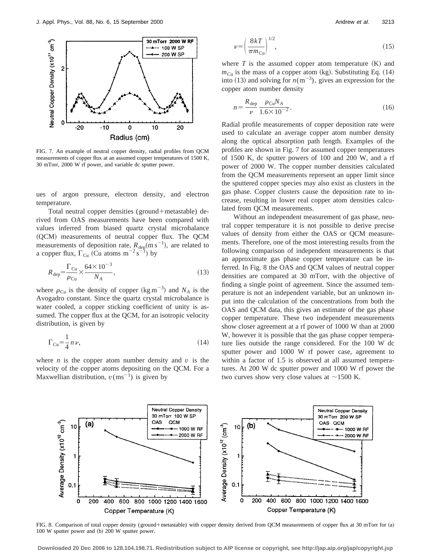

FIG. 7. An example of neutral copper density, radial profiles from QCM measurements of copper flux at an assumed copper temperatures of 1500 K, 30 mTorr, 2000 W rf power, and variable dc sputter power.

ues of argon pressure, electron density, and electron temperature.

Total neutral copper densities (ground+metastable) derived from OAS measurements have been compared with values inferred from biased quartz crystal microbalance (QCM) measurements of neutral copper flux. The QCM measurements of deposition rate,  $R_{\text{dep}}(m \, s^{-1})$ , are related to a copper flux,  $\Gamma_{Cu}$  (Cu atoms  $m^{-2} s^{-1}$ ) by

$$
R_{\rm dep} = \frac{\Gamma_{\rm Cu}}{\rho_{\rm Cu}} \times \frac{64 \times 10^{-3}}{N_A},
$$
\n(13)

where  $\rho_{Cu}$  is the density of copper (kg m<sup>-3</sup>) and  $N_A$  is the Avogadro constant. Since the quartz crystal microbalance is water cooled, a copper sticking coefficient of unity is assumed. The copper flux at the QCM, for an isotropic velocity distribution, is given by

$$
\Gamma_{\text{Cu}} = \frac{1}{4} n \nu, \tag{14}
$$

where  $n$  is the copper atom number density and  $v$  is the velocity of the copper atoms depositing on the QCM. For a Maxwellian distribution,  $v(ms^{-1})$  is given by

$$
\nu = \left(\frac{8k}{\pi m_{\text{Cu}}}\right)^{1/2},\tag{15}
$$

where  $T$  is the assumed copper atom temperature  $(K)$  and  $m_{\text{Cu}}$  is the mass of a copper atom (kg). Substituting Eq. (14) into (13) and solving for  $n(m^{-3})$ , gives an expression for the copper atom number density

$$
n = \frac{R_{\text{dep}}}{\nu} \frac{\rho_{\text{Cu}} N_A}{1.6 \times 10^{-2}}.
$$
 (16)

Radial profile measurements of copper deposition rate were used to calculate an average copper atom number density along the optical absorption path length. Examples of the profiles are shown in Fig. 7 for assumed copper temperatures of 1500 K, dc sputter powers of 100 and 200 W, and a rf power of 2000 W. The copper number densities calculated from the QCM measurements represent an upper limit since the sputtered copper species may also exist as clusters in the gas phase. Copper clusters cause the deposition rate to increase, resulting in lower real copper atom densities calculated from QCM measurements.

Without an independent measurement of gas phase, neutral copper temperature it is not possible to derive precise values of density from either the OAS or QCM measurements. Therefore, one of the most interesting results from the following comparison of independent measurements is that an approximate gas phase copper temperature can be inferred. In Fig. 8 the OAS and QCM values of neutral copper densities are compared at 30 mTorr, with the objective of finding a single point of agreement. Since the assumed temperature is not an independent variable, but an unknown input into the calculation of the concentrations from both the OAS and QCM data, this gives an estimate of the gas phase copper temperature. These two independent measurements show closer agreement at a rf power of 1000 W than at 2000 W, however it is possible that the gas phase copper temperature lies outside the range considered. For the 100 W dc sputter power and 1000 W rf power case, agreement to within a factor of 1.5 is observed at all assumed temperatures. At 200 W dc sputter power and 1000 W rf power the two curves show very close values at  $\sim$ 1500 K.



FIG. 8. Comparison of total copper density (ground+metastable) with copper density derived from QCM measurements of copper flux at 30 mTorr for (a)  $100 \text{ W}$  sputter power and  $(b)$  200 W sputter power.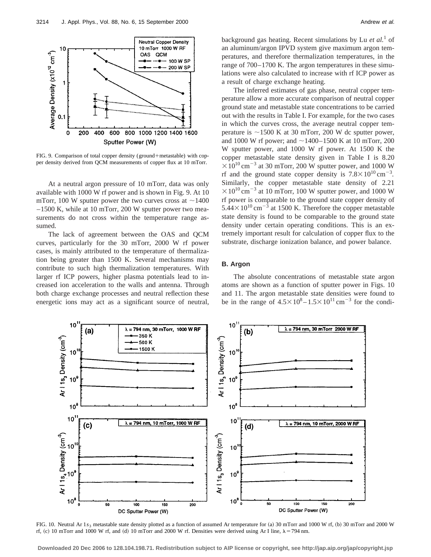

FIG. 9. Comparison of total copper density (ground+metastable) with copper density derived from QCM measurements of copper flux at 10 mTorr.

At a neutral argon pressure of 10 mTorr, data was only available with 1000 W rf power and is shown in Fig. 9. At 10 mTorr, 100 W sputter power the two curves cross at  $\sim$ 1400 –1500 K, while at 10 mTorr, 200 W sputter power two measurements do not cross within the temperature range assumed.

The lack of agreement between the OAS and QCM curves, particularly for the 30 mTorr, 2000 W rf power cases, is mainly attributed to the temperature of thermalization being greater than 1500 K. Several mechanisms may contribute to such high thermalization temperatures. With larger rf ICP powers, higher plasma potentials lead to increased ion acceleration to the walls and antenna. Through both charge exchange processes and neutral reflection these energetic ions may act as a significant source of neutral, background gas heating. Recent simulations by Lu *et al.*<sup>1</sup> of an aluminum/argon IPVD system give maximum argon temperatures, and therefore thermalization temperatures, in the range of 700–1700 K. The argon temperatures in these simulations were also calculated to increase with rf ICP power as a result of charge exchange heating.

The inferred estimates of gas phase, neutral copper temperature allow a more accurate comparison of neutral copper ground state and metastable state concentrations to be carried out with the results in Table I. For example, for the two cases in which the curves cross, the average neutral copper temperature is  $\sim$ 1500 K at 30 mTorr, 200 W dc sputter power, and 1000 W rf power; and  $\sim$ 1400–1500 K at 10 mTorr, 200 W sputter power, and 1000 W rf power. At 1500 K the copper metastable state density given in Table I is 8.20  $\times 10^{10}$  cm<sup>-3</sup> at 30 mTorr, 200 W sputter power, and 1000 W rf and the ground state copper density is  $7.8 \times 10^{10} \text{ cm}^{-3}$ . Similarly, the copper metastable state density of 2.21  $\times 10^{10}$  cm<sup>-3</sup> at 10 mTorr, 100 W sputter power, and 1000 W rf power is comparable to the ground state copper density of  $5.44 \times 10^{10}$  cm<sup>-3</sup> at 1500 K. Therefore the copper metastable state density is found to be comparable to the ground state density under certain operating conditions. This is an extremely important result for calculation of copper flux to the substrate, discharge ionization balance, and power balance.

### **B. Argon**

The absolute concentrations of metastable state argon atoms are shown as a function of sputter power in Figs. 10 and 11. The argon metastable state densities were found to be in the range of  $4.5 \times 10^8 - 1.5 \times 10^{11}$  cm<sup>-3</sup> for the condi-



FIG. 10. Neutral Ar 1*s*<sub>3</sub> metastable state density plotted as a function of assumed Ar temperature for (a) 30 mTorr and 1000 W rf, (b) 30 mTorr and 2000 W rf, (c) 10 mTorr and 1000 W rf, and (d) 10 mTorr and 2000 W rf. Densities were derived using Ar I line,  $\lambda$  = 794 nm.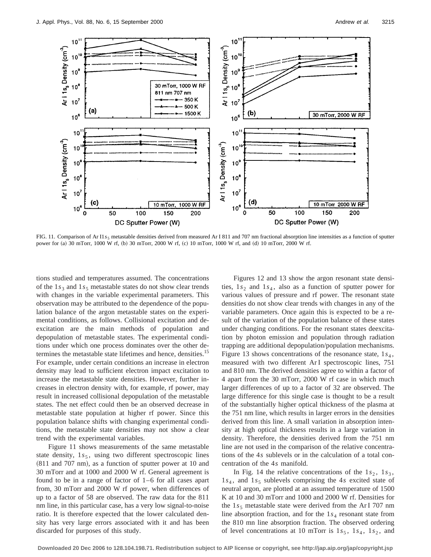

FIG. 11. Comparison of Ar I1<sub>55</sub> metastable densities derived from measured Ar I 811 and 707 nm fractional absorption line intensities as a function of sputter power for (a) 30 mTorr, 1000 W rf, (b) 30 mTorr, 2000 W rf, (c) 10 mTorr, 1000 W rf, and (d) 10 mTorr, 2000 W rf.

tions studied and temperatures assumed. The concentrations of the 1<sub>*s*3</sub> and 1<sub>*s*<sub>5</sub></sub> metastable states do not show clear trends with changes in the variable experimental parameters. This observation may be attributed to the dependence of the population balance of the argon metastable states on the experimental conditions, as follows. Collisional excitation and deexcitation are the main methods of population and depopulation of metastable states. The experimental conditions under which one process dominates over the other determines the metastable state lifetimes and hence, densities.<sup>15</sup> For example, under certain conditions an increase in electron density may lead to sufficient electron impact excitation to increase the metastable state densities. However, further increases in electron density with, for example, rf power, may result in increased collisional depopulation of the metastable states. The net effect could then be an observed decrease in metastable state population at higher rf power. Since this population balance shifts with changing experimental conditions, the metastable state densities may not show a clear trend with the experimental variables.

Figure 11 shows measurements of the same metastable state density,  $1s<sub>5</sub>$ , using two different spectroscopic lines  $(811$  and 707 nm), as a function of sputter power at 10 and 30 mTorr and at 1000 and 2000 W rf. General agreement is found to be in a range of factor of 1–6 for all cases apart from, 30 mTorr and 2000 W rf power, when differences of up to a factor of 58 are observed. The raw data for the 811 nm line, in this particular case, has a very low signal-to-noise ratio. It is therefore expected that the lower calculated density has very large errors associated with it and has been discarded for purposes of this study.

Figures 12 and 13 show the argon resonant state densities,  $1s_2$  and  $1s_4$ , also as a function of sputter power for various values of pressure and rf power. The resonant state densities do not show clear trends with changes in any of the variable parameters. Once again this is expected to be a result of the variation of the population balance of these states under changing conditions. For the resonant states deexcitation by photon emission and population through radiation trapping are additional depopulation/population mechanisms. Figure 13 shows concentrations of the resonance state,  $1s<sub>4</sub>$ , measured with two different Ar I spectroscopic lines, 751 and 810 nm. The derived densities agree to within a factor of 4 apart from the 30 mTorr, 2000 W rf case in which much larger differences of up to a factor of 32 are observed. The large difference for this single case is thought to be a result of the substantially higher optical thickness of the plasma at the 751 nm line, which results in larger errors in the densities derived from this line. A small variation in absorption intensity at high optical thickness results in a large variation in density. Therefore, the densities derived from the 751 nm line are not used in the comparison of the relative concentrations of the 4*s* sublevels or in the calculation of a total concentration of the 4*s* manifold.

In Fig. 14 the relative concentrations of the  $1s_2$ ,  $1s_3$ ,  $1s<sub>4</sub>$ , and  $1s<sub>5</sub>$  sublevels comprising the 4*s* excited state of neutral argon, are plotted at an assumed temperature of 1500 K at 10 and 30 mTorr and 1000 and 2000 W rf. Densities for the  $1s<sub>5</sub>$  metastable state were derived from the Ar I 707 nm line absorption fraction, and for the 1*s*<sup>4</sup> resonant state from the 810 mn line absorption fraction. The observed ordering of level concentrations at 10 mTorr is  $1s_5$ ,  $1s_4$ ,  $1s_2$ , and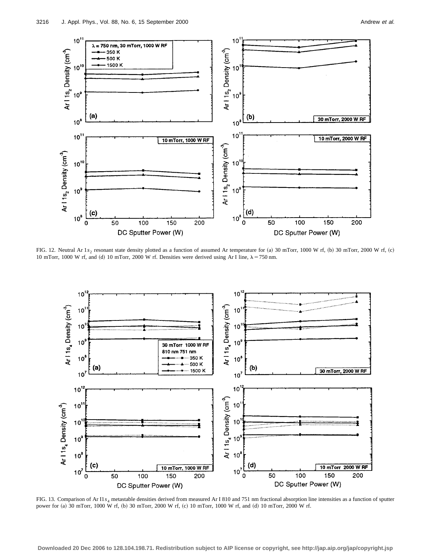

FIG. 12. Neutral Ar 1*s*<sub>2</sub> resonant state density plotted as a function of assumed Ar temperature for (a) 30 mTorr, 1000 W rf, (b) 30 mTorr, 2000 W rf, (c) 10 mTorr, 1000 W rf, and (d) 10 mTorr, 2000 W rf. Densities were derived using Ar I line,  $\lambda = 750$  nm.



FIG. 13. Comparison of Ar I1*s*<sup>4</sup> metastable densities derived from measured Ar I 810 and 751 nm fractional absorption line intensities as a function of sputter power for (a) 30 mTorr, 1000 W rf, (b) 30 mTorr, 2000 W rf, (c) 10 mTorr, 1000 W rf, and (d) 10 mTorr, 2000 W rf.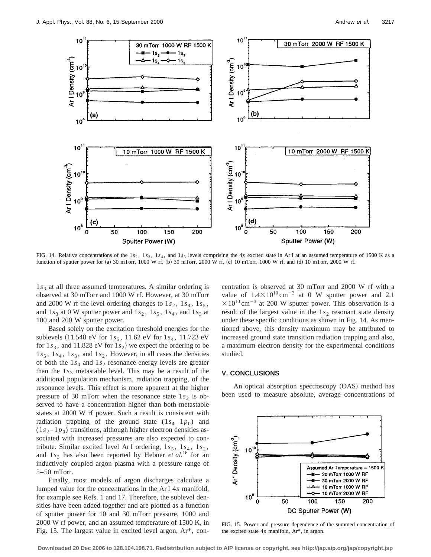

FIG. 14. Relative concentrations of the  $1s_2$ ,  $1s_3$ ,  $1s_4$ , and  $1s_5$  levels comprising the 4*s* excited state in Ar I at an assumed temperature of 1500 K as a function of sputter power for (a) 30 mTorr, 1000 W rf, (b) 30 mTorr, 2000 W rf, (c) 10 mTorr, 1000 W rf, and (d) 10 mTorr, 2000 W rf.

1s<sub>3</sub> at all three assumed temperatures. A similar ordering is observed at 30 mTorr and 1000 W rf. However, at 30 mTorr and 2000 W rf the level ordering changes to  $1s_2$ ,  $1s_4$ ,  $1s_5$ , and  $1s_3$  at 0 W sputter power and  $1s_2$ ,  $1s_5$ ,  $1s_4$ , and  $1s_3$  at 100 and 200 W sputter power.

Based solely on the excitation threshold energies for the sublevels  $(11.548 \text{ eV}$  for  $1s_5$ ,  $11.62 \text{ eV}$  for  $1s_4$ ,  $11.723 \text{ eV}$ for  $1s_3$ , and  $11.828$  eV for  $1s_2$ ) we expect the ordering to be  $1s_5$ ,  $1s_4$ ,  $1s_3$ , and  $1s_2$ . However, in all cases the densities of both the  $1s_4$  and  $1s_2$  resonance energy levels are greater than the  $1s_3$  metastable level. This may be a result of the additional population mechanism, radiation trapping, of the resonance levels. This effect is more apparent at the higher pressure of 30 mTorr when the resonance state  $1s<sub>2</sub>$  is observed to have a concentration higher than both metastable states at 2000 W rf power. Such a result is consistent with radiation trapping of the ground state  $(1s_4 - 1p_0)$  and  $(1s<sub>2</sub> - 1p<sub>0</sub>)$  transitions, although higher electron densities associated with increased pressures are also expected to contribute. Similar excited level ArI ordering,  $1s_5$ ,  $1s_4$ ,  $1s_2$ , and  $1s_3$  has also been reported by Hebner *et al.*<sup>16</sup> for an inductively coupled argon plasma with a pressure range of 5–50 mTorr.

Finally, most models of argon discharges calculate a lumped value for the concentrations in the Ar I 4*s* manifold, for example see Refs. 1 and 17. Therefore, the sublevel densities have been added together and are plotted as a function of sputter power for 10 and 30 mTorr pressure, 1000 and 2000 W rf power, and an assumed temperature of 1500 K, in Fig. 15. The largest value in excited level argon, Ar\*, concentration is observed at 30 mTorr and 2000 W rf with a value of  $1.4 \times 10^{10}$  cm<sup>-3</sup> at 0 W sputter power and 2.1  $\times 10^{10}$  cm<sup>-3</sup> at 200 W sputter power. This observation is a result of the largest value in the  $1s<sub>2</sub>$  resonant state density under these specific conditions as shown in Fig. 14. As mentioned above, this density maximum may be attributed to increased ground state transition radiation trapping and also, a maximum electron density for the experimental conditions studied.

#### **V. CONCLUSIONS**

An optical absorption spectroscopy (OAS) method has been used to measure absolute, average concentrations of



FIG. 15. Power and pressure dependence of the summed concentration of the excited state 4*s* manifold, Ar\*, in argon.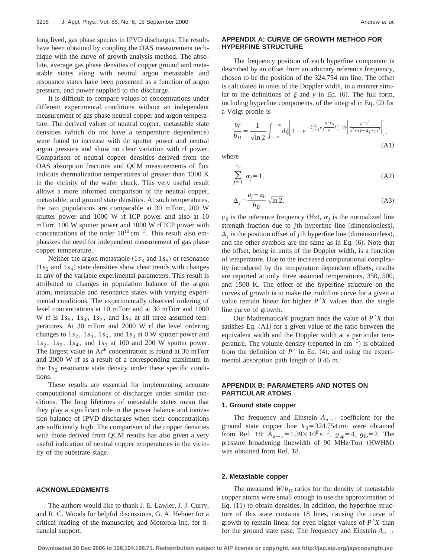long lived, gas phase species in IPVD discharges. The results have been obtained by coupling the OAS measurement technique with the curve of growth analysis method. The absolute, average gas phase densities of copper ground and metastable states along with neutral argon metastable and resonance states have been presented as a function of argon pressure, and power supplied to the discharge.

It is difficult to compare values of concentrations under different experimental conditions without an independent measurement of gas phase neutral copper and argon temperature. The derived values of neutral copper, metastable state densities (which do not have a temperature dependence) were found to increase with dc sputter power and neutral argon pressure and show no clear variation with rf power. Comparison of neutral copper densities derived from the OAS absorption fractions and QCM measurements of flux indicate thermalization temperatures of greater than 1300 K in the vicinity of the wafer chuck. This very useful result allows a more informed comparison of the neutral copper, metastable, and ground state densities. At such temperatures, the two populations are comparable at 30 mTorr, 200 W sputter power and 1000 W rf ICP power and also at 10 mTorr, 100 W sputter power and 1000 W rf ICP power with concentrations of the order  $10^{10}$  cm<sup>-3</sup>. This result also emphasizes the need for independent measurement of gas phase copper temperature.

Neither the argon metastable  $(1s<sub>3</sub>$  and  $1s<sub>5</sub>)$  or resonance  $(1s<sub>2</sub>$  and  $1s<sub>4</sub>)$  state densities show clear trends with changes in any of the variable experimental parameters. This result is attributed to changes in population balance of the argon atom, metastable and resonance states with varying experimental conditions. The experimentally observed ordering of level concentrations at 10 mTorr and at 30 mTorr and 1000 W rf is  $1s_5$ ,  $1s_4$ ,  $1s_2$ , and  $1s_3$  at all three assumed temperatures. At 30 mTorr and 2000 W rf the level ordering changes to  $1s_2$ ,  $1s_4$ ,  $1s_5$ , and  $1s_3$  at 0 W sputter power and  $1s_2$ ,  $1s_5$ ,  $1s_4$ , and  $1s_3$  at 100 and 200 W sputter power. The largest value in Ar\* concentration is found at 30 mTorr and 2000 W rf as a result of a corresponding maximum in the  $1s<sub>2</sub>$  resonance state density under these specific conditions.

These results are essential for implementing accurate computational simulations of discharges under similar conditions. The long lifetimes of metastable states mean that they play a significant role in the power balance and ionization balance of IPVD discharges when their concentrations are sufficiently high. The comparison of the copper densities with those derived from QCM results has also given a very useful indication of neutral copper temperatures in the vicinity of the substrate stage.

#### **ACKNOWLEDGMENTS**

The authors would like to thank J. E. Lawler, J. J. Curry, and R. C. Woods for helpful discussions, G. A. Hebner for a critical reading of the manuscript, and Motorola Inc. for financial support.

## **APPENDIX A: CURVE OF GROWTH METHOD FOR HYPERFINE STRUCTURE**

The frequency position of each hyperfine component is described by an offset from an arbitrary reference frequency, chosen to be the position of the 324.754 nm line. The offset is calculated in units of the Doppler width, in a manner similar to the definitions of  $\xi$  and  $y$  in Eq. (6). The full form, including hyperfine components, of the integral in Eq.  $(2)$  for a Voigt profile is

$$
\frac{W}{b_D} = \frac{1}{\sqrt{\ln 2}} \int_{-\infty}^{+\infty} d\xi \left[ 1 - e^{-\sum_{j=1}^{12} \alpha_j \frac{P'X_s}{\pi} \int_{-\infty}^{+\infty} d y} \left[ \frac{e^{-y^2}}{a^2 + (\xi - \Delta_j - y)^2} \right] \right],
$$
\n(A1)

where

$$
\sum_{j=1}^{12} \alpha_j = 1,\tag{A2}
$$

$$
\Delta_j = \frac{\nu_j - \nu_0}{b_D} \sqrt{\ln 2}.
$$
\n(A3)

 $v_0$  is the reference frequency (Hz),  $\alpha_i$  is the normalized line strength fraction due to *j*th hyperfine line (dimensionless),  $\Delta$ <sub>*j*</sub> is the position offset of *j*th hyperfine line (dimensionless), and the other symbols are the same as in Eq.  $(6)$ . Note that the offset, being in units of the Doppler width, is a function of temperature. Due to the increased computational complexity introduced by the temperature dependent offsets, results are reported at only three assumed temperatures, 350, 500, and 1500 K. The effect of the hyperfine structure on the curves of growth is to make the multiline curve for a given *a* value remain linear for higher  $P'X$  values than the single line curve of growth.

Our Mathematica<sup>®</sup> program finds the value of  $P'X$  that satisfies Eq.  $(A1)$  for a given value of the ratio between the equivalent width and the Doppler width at a particular temperature. The volume density (reported in  $cm^{-3}$ ) is obtained from the definition of  $P'$  in Eq. (4), and using the experimental absorption path length of 0.46 m.

# **APPENDIX B: PARAMETERS AND NOTES ON PARTICULAR ATOMS**

## **1. Ground state copper**

The frequency and Einstein  $A_{u\rightarrow 1}$  coefficient for the ground state copper line  $\lambda_0$  = 324.754 nm were obtained from Ref. 18:  $A_{u \to 1} = 1.39 \times 10^8 \text{ s}^{-1}$ ,  $g_{up} = 4$ ,  $g_{10} = 2$ . The pressure broadening linewidth of 90 MHz/Torr (HWHM) was obtained from Ref. 18.

#### **2. Metastable copper**

The measured  $W/b_D$  ratios for the density of metastable copper atoms were small enough to use the approximation of Eq.  $(11)$  to obtain densities. In addition, the hyperfine structure of this state contains 18 lines, causing the curve of growth to remain linear for even higher values of  $P'X$  than for the ground state case. The frequency and Einstein  $A_{u \to 1}$